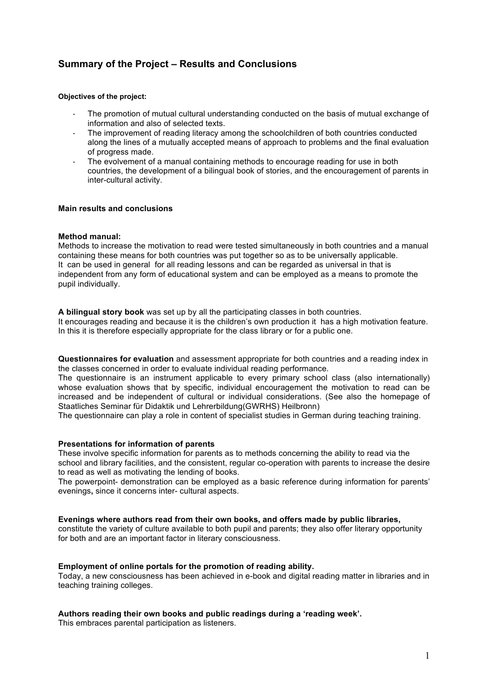# **Summary of the Project – Results and Conclusions**

#### **Objectives of the project:**

- The promotion of mutual cultural understanding conducted on the basis of mutual exchange of information and also of selected texts.
- The improvement of reading literacy among the schoolchildren of both countries conducted along the lines of a mutually accepted means of approach to problems and the final evaluation of progress made.
- The evolvement of a manual containing methods to encourage reading for use in both countries, the development of a bilingual book of stories, and the encouragement of parents in inter-cultural activity.

#### **Main results and conclusions**

### **Method manual:**

Methods to increase the motivation to read were tested simultaneously in both countries and a manual containing these means for both countries was put together so as to be universally applicable. It can be used in general for all reading lessons and can be regarded as universal in that is independent from any form of educational system and can be employed as a means to promote the pupil individually.

**A bilingual story book** was set up by all the participating classes in both countries. It encourages reading and because it is the children's own production it has a high motivation feature. In this it is therefore especially appropriate for the class library or for a public one.

**Questionnaires for evaluation** and assessment appropriate for both countries and a reading index in the classes concerned in order to evaluate individual reading performance.

The questionnaire is an instrument applicable to every primary school class (also internationally) whose evaluation shows that by specific, individual encouragement the motivation to read can be increased and be independent of cultural or individual considerations. (See also the homepage of Staatliches Seminar für Didaktik und Lehrerbildung(GWRHS) Heilbronn)

The questionnaire can play a role in content of specialist studies in German during teaching training.

#### **Presentations for information of parents**

These involve specific information for parents as to methods concerning the ability to read via the school and library facilities, and the consistent, regular co-operation with parents to increase the desire to read as well as motivating the lending of books.

The powerpoint- demonstration can be employed as a basic reference during information for parents' evenings**,** since it concerns inter- cultural aspects.

#### **Evenings where authors read from their own books, and offers made by public libraries,**

constitute the variety of culture available to both pupil and parents; they also offer literary opportunity for both and are an important factor in literary consciousness.

## **Employment of online portals for the promotion of reading ability.**

Today, a new consciousness has been achieved in e-book and digital reading matter in libraries and in teaching training colleges.

#### **Authors reading their own books and public readings during a 'reading week'.**

This embraces parental participation as listeners.